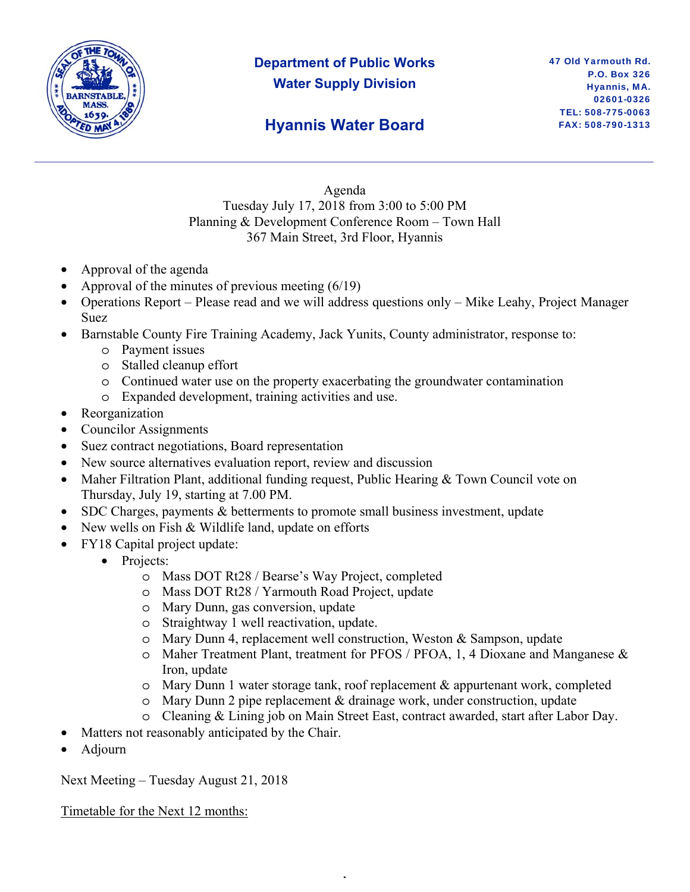

# **Department of Public Works Water Supply Division**

# **Hyannis Water Board**

Agenda Tuesday July 17, 2018 from 3:00 to 5:00 PM Planning & Development Conference Room – Town Hall 367 Main Street, 3rd Floor, Hyannis

- Approval of the agenda
- Approval of the minutes of previous meeting  $(6/19)$
- Operations Report Please read and we will address questions only Mike Leahy, Project Manager Suez
- Barnstable County Fire Training Academy, Jack Yunits, County administrator, response to:
	- o Payment issues
	- o Stalled cleanup effort
	- o Continued water use on the property exacerbating the groundwater contamination
	- o Expanded development, training activities and use.
- Reorganization
- Councilor Assignments
- Suez contract negotiations, Board representation
- New source alternatives evaluation report, review and discussion
- Maher Filtration Plant, additional funding request, Public Hearing & Town Council vote on Thursday, July 19, starting at 7.00 PM.
- SDC Charges, payments & betterments to promote small business investment, update
- New wells on Fish & Wildlife land, update on efforts
- FY18 Capital project update:
	- Projects:
		- o Mass DOT Rt28 / Bearse's Way Project, completed
		- o Mass DOT Rt28 / Yarmouth Road Project, update
		- o Mary Dunn, gas conversion, update
		- o Straightway 1 well reactivation, update.
		- o Mary Dunn 4, replacement well construction, Weston & Sampson, update
		- o Maher Treatment Plant, treatment for PFOS / PFOA, 1, 4 Dioxane and Manganese & Iron, update
		- o Mary Dunn 1 water storage tank, roof replacement & appurtenant work, completed
		- o Mary Dunn 2 pipe replacement & drainage work, under construction, update

,

- o Cleaning & Lining job on Main Street East, contract awarded, start after Labor Day.
- Matters not reasonably anticipated by the Chair.
- Adjourn

Next Meeting – Tuesday August 21, 2018

Timetable for the Next 12 months: